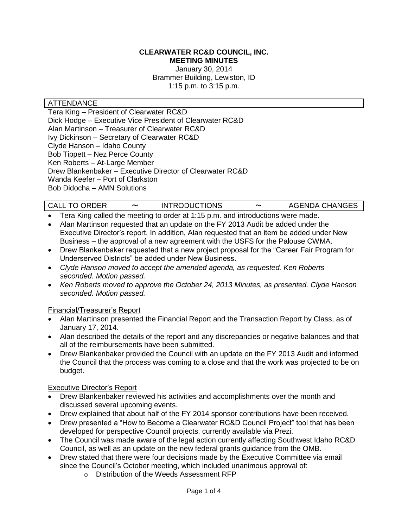#### **CLEARWATER RC&D COUNCIL, INC. MEETING MINUTES**

January 30, 2014 Brammer Building, Lewiston, ID 1:15 p.m. to 3:15 p.m.

#### ATTENDANCE

Tera King – President of Clearwater RC&D Dick Hodge – Executive Vice President of Clearwater RC&D Alan Martinson – Treasurer of Clearwater RC&D Ivy Dickinson – Secretary of Clearwater RC&D Clyde Hanson – Idaho County Bob Tippett – Nez Perce County Ken Roberts – At-Large Member Drew Blankenbaker – Executive Director of Clearwater RC&D Wanda Keefer – Port of Clarkston Bob Didocha – AMN Solutions

# CALL TO ORDER 〜 INTRODUCTIONS 〜 AGENDA CHANGES

- Tera King called the meeting to order at 1:15 p.m. and introductions were made.
- Alan Martinson requested that an update on the FY 2013 Audit be added under the Executive Director's report. In addition, Alan requested that an item be added under New Business – the approval of a new agreement with the USFS for the Palouse CWMA.
- Drew Blankenbaker requested that a new project proposal for the "Career Fair Program for Underserved Districts" be added under New Business.
- *Clyde Hanson moved to accept the amended agenda, as requested. Ken Roberts seconded. Motion passed.*
- *Ken Roberts moved to approve the October 24, 2013 Minutes, as presented. Clyde Hanson seconded. Motion passed.*

#### Financial/Treasurer's Report

- Alan Martinson presented the Financial Report and the Transaction Report by Class, as of January 17, 2014.
- Alan described the details of the report and any discrepancies or negative balances and that all of the reimbursements have been submitted.
- Drew Blankenbaker provided the Council with an update on the FY 2013 Audit and informed the Council that the process was coming to a close and that the work was projected to be on budget.

#### Executive Director's Report

- Drew Blankenbaker reviewed his activities and accomplishments over the month and discussed several upcoming events.
- Drew explained that about half of the FY 2014 sponsor contributions have been received.
- Drew presented a "How to Become a Clearwater RC&D Council Project" tool that has been developed for perspective Council projects, currently available via Prezi.
- The Council was made aware of the legal action currently affecting Southwest Idaho RC&D Council, as well as an update on the new federal grants guidance from the OMB.
- Drew stated that there were four decisions made by the Executive Committee via email since the Council's October meeting, which included unanimous approval of:
	- o Distribution of the Weeds Assessment RFP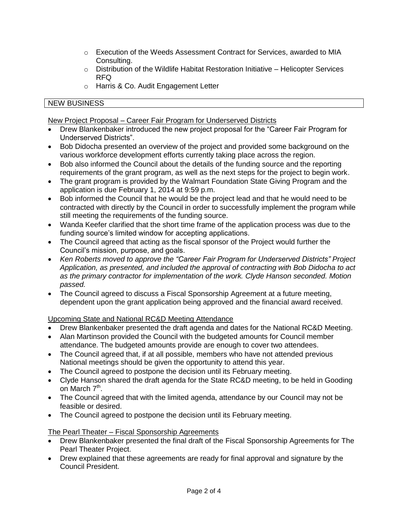- $\circ$  Execution of the Weeds Assessment Contract for Services, awarded to MIA Consulting.
- $\circ$  Distribution of the Wildlife Habitat Restoration Initiative Helicopter Services RFQ
- o Harris & Co. Audit Engagement Letter

# NEW BUSINESS

New Project Proposal – Career Fair Program for Underserved Districts

- Drew Blankenbaker introduced the new project proposal for the "Career Fair Program for Underserved Districts".
- Bob Didocha presented an overview of the project and provided some background on the various workforce development efforts currently taking place across the region.
- Bob also informed the Council about the details of the funding source and the reporting requirements of the grant program, as well as the next steps for the project to begin work.
- The grant program is provided by the Walmart Foundation State Giving Program and the application is due February 1, 2014 at 9:59 p.m.
- Bob informed the Council that he would be the project lead and that he would need to be contracted with directly by the Council in order to successfully implement the program while still meeting the requirements of the funding source.
- Wanda Keefer clarified that the short time frame of the application process was due to the funding source's limited window for accepting applications.
- The Council agreed that acting as the fiscal sponsor of the Project would further the Council's mission, purpose, and goals.
- *Ken Roberts moved to approve the "Career Fair Program for Underserved Districts" Project Application, as presented, and included the approval of contracting with Bob Didocha to act as the primary contractor for implementation of the work. Clyde Hanson seconded. Motion passed.*
- The Council agreed to discuss a Fiscal Sponsorship Agreement at a future meeting, dependent upon the grant application being approved and the financial award received.

Upcoming State and National RC&D Meeting Attendance

- Drew Blankenbaker presented the draft agenda and dates for the National RC&D Meeting.
- Alan Martinson provided the Council with the budgeted amounts for Council member attendance. The budgeted amounts provide are enough to cover two attendees.
- The Council agreed that, if at all possible, members who have not attended previous National meetings should be given the opportunity to attend this year.
- The Council agreed to postpone the decision until its February meeting.
- Clyde Hanson shared the draft agenda for the State RC&D meeting, to be held in Gooding on March 7<sup>th</sup>.
- The Council agreed that with the limited agenda, attendance by our Council may not be feasible or desired.
- The Council agreed to postpone the decision until its February meeting.

# The Pearl Theater – Fiscal Sponsorship Agreements

- Drew Blankenbaker presented the final draft of the Fiscal Sponsorship Agreements for The Pearl Theater Project.
- Drew explained that these agreements are ready for final approval and signature by the Council President.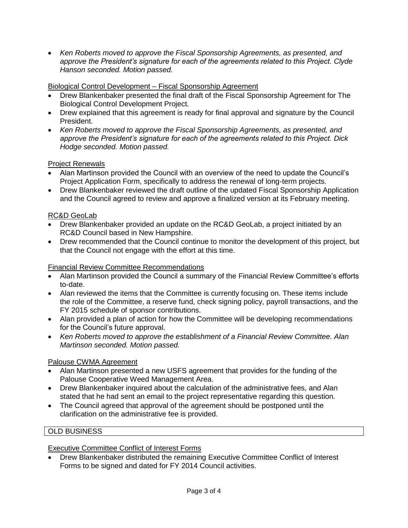*Ken Roberts moved to approve the Fiscal Sponsorship Agreements, as presented, and approve the President's signature for each of the agreements related to this Project. Clyde Hanson seconded. Motion passed.*

## Biological Control Development – Fiscal Sponsorship Agreement

- Drew Blankenbaker presented the final draft of the Fiscal Sponsorship Agreement for The Biological Control Development Project.
- Drew explained that this agreement is ready for final approval and signature by the Council President.
- *Ken Roberts moved to approve the Fiscal Sponsorship Agreements, as presented, and approve the President's signature for each of the agreements related to this Project. Dick Hodge seconded. Motion passed.*

## Project Renewals

- Alan Martinson provided the Council with an overview of the need to update the Council's Project Application Form, specifically to address the renewal of long-term projects.
- Drew Blankenbaker reviewed the draft outline of the updated Fiscal Sponsorship Application and the Council agreed to review and approve a finalized version at its February meeting.

## RC&D GeoLab

- Drew Blankenbaker provided an update on the RC&D GeoLab, a project initiated by an RC&D Council based in New Hampshire.
- Drew recommended that the Council continue to monitor the development of this project, but that the Council not engage with the effort at this time.

#### Financial Review Committee Recommendations

- Alan Martinson provided the Council a summary of the Financial Review Committee's efforts to-date.
- Alan reviewed the items that the Committee is currently focusing on. These items include the role of the Committee, a reserve fund, check signing policy, payroll transactions, and the FY 2015 schedule of sponsor contributions.
- Alan provided a plan of action for how the Committee will be developing recommendations for the Council's future approval.
- *Ken Roberts moved to approve the establishment of a Financial Review Committee. Alan Martinson seconded. Motion passed.*

# Palouse CWMA Agreement

- Alan Martinson presented a new USFS agreement that provides for the funding of the Palouse Cooperative Weed Management Area.
- Drew Blankenbaker inquired about the calculation of the administrative fees, and Alan stated that he had sent an email to the project representative regarding this question.
- The Council agreed that approval of the agreement should be postponed until the clarification on the administrative fee is provided.

# OLD BUSINESS

#### Executive Committee Conflict of Interest Forms

 Drew Blankenbaker distributed the remaining Executive Committee Conflict of Interest Forms to be signed and dated for FY 2014 Council activities.